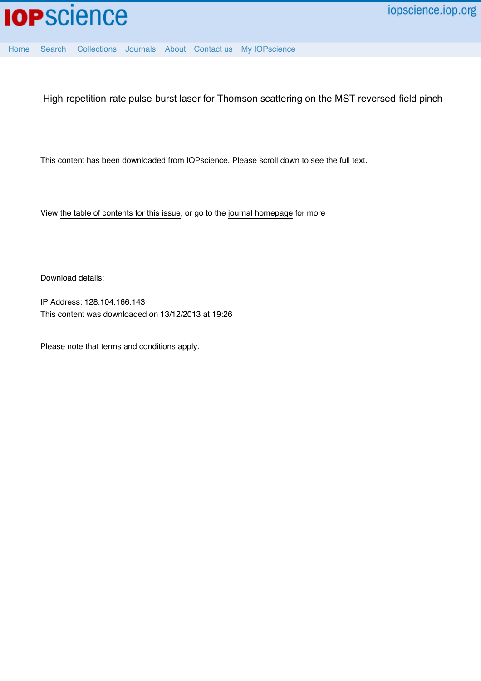

[Home](http://iopscience.iop.org/) [Search](http://iopscience.iop.org/search) [Collections](http://iopscience.iop.org/collections) [Journals](http://iopscience.iop.org/journals) [About](http://iopscience.iop.org/page/aboutioppublishing) [Contact us](http://iopscience.iop.org/contact) [My IOPscience](http://iopscience.iop.org/myiopscience)

High-repetition-rate pulse-burst laser for Thomson scattering on the MST reversed-field pinch

This content has been downloaded from IOPscience. Please scroll down to see the full text.

View [the table of contents for this issue](http://iopscience.iop.org/1748-0221/8/11), or go to the [journal homepage](http://iopscience.iop.org/1748-0221) for more

Download details:

IP Address: 128.104.166.143 This content was downloaded on 13/12/2013 at 19:26

Please note that [terms and conditions apply.](iopscience.iop.org/page/terms)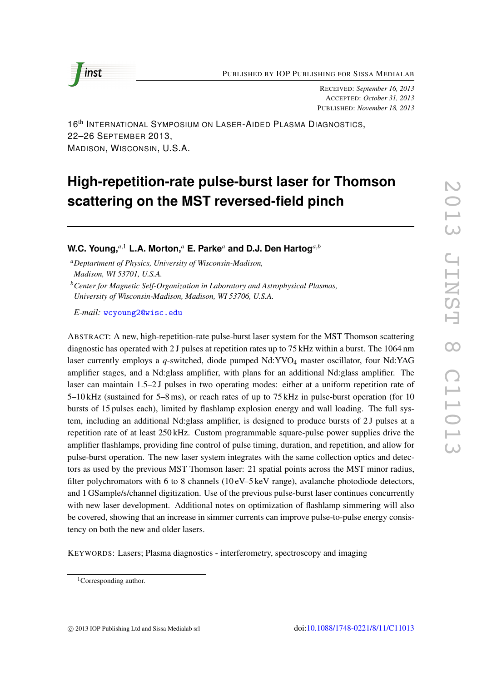PUBLISHED BY IOP PUBLISHING FOR SISSA MEDIALAB



RECEIVED : *September 16, 2013* ACCEPTED : *October 31, 2013* PUBLISHED : *November 18, 2013*

16<sup>th</sup> INTERNATIONAL SYMPOSIUM ON LASER-AIDED PLASMA DIAGNOSTICS, 22–26 SEPTEMBER 2013, MADISON, WISCONSIN, U.S.A.

# **High-repetition-rate pulse-burst laser for Thomson scattering on the MST reversed-field pinch**

W.C. Young, ${}^{a,1}$  L.A. Morton, ${}^{a}$  E. Parke ${}^{a}$  and D.J. Den Hartog ${}^{a,b}$ 

*aDeptartment of Physics, University of Wisconsin-Madison, Madison, WI 53701, U.S.A.*

*bCenter for Magnetic Self-Organization in Laboratory and Astrophysical Plasmas, University of Wisconsin-Madison, Madison, WI 53706, U.S.A.*

*E-mail:* [wcyoung2@wisc.edu](mailto:wcyoung2@wisc.edu)

ABSTRACT: A new, high-repetition-rate pulse-burst laser system for the MST Thomson scattering diagnostic has operated with 2 J pulses at repetition rates up to 75 kHz within a burst. The 1064 nm laser currently employs a *q*-switched, diode pumped Nd:YVO <sup>4</sup> master oscillator, four Nd:YAG amplifier stages, and a Nd:glass amplifier, with plans for an additional Nd:glass amplifier. The laser can maintain 1.5–2J pulses in two operating modes: either at a uniform repetition rate of 5–10 kHz (sustained for 5–8 ms), or reach rates of up to 75 kHz in pulse-burst operation (for 10 bursts of 15 pulses each), limited by flashlamp explosion energy and wall loading. The full system, including an additional Nd:glass amplifier, is designed to produce bursts of 2 J pulses at a repetition rate of at least 250 kHz. Custom programmable square-pulse power supplies drive the amplifier flashlamps, providing fine control of pulse timing, duration, and repetition, and allow for pulse-burst operation. The new laser system integrates with the same collection optics and detectors as used by the previous MST Thomson laser: 21 spatial points across the MST minor radius, filter polychromators with 6 to 8 channels ( $10 \text{ eV}$ –5 keV range), avalanche photodiode detectors, and 1 GSample/s/channel digitization. Use of the previous pulse-burst laser continues concurrently with new laser development. Additional notes on optimization of flashlamp simmering will also be covered, showing that an increase in simmer currents can improve pulse-to-pulse energy consistency on both the new and older lasers.

KEYWORDS: Lasers; Plasma diagnostics - interferometry, spectroscopy and imaging

<sup>&</sup>lt;sup>1</sup>Corresponding author.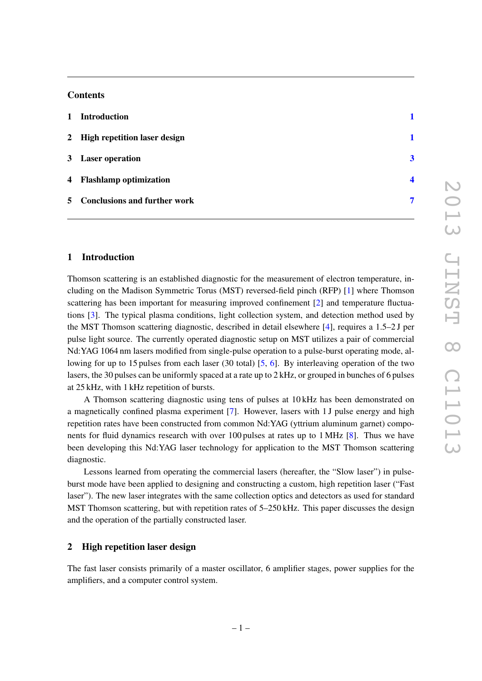# **Contents**

| 1 Introduction                 |                |
|--------------------------------|----------------|
| 2 High repetition laser design |                |
| 3 Laser operation              | $\overline{3}$ |
| 4 Flashlamp optimization       | Δ              |
| 5 Conclusions and further work | 7              |

## <span id="page-2-0"></span>1 Introduction

Thomson scattering is an established diagnostic for the measurement of electron temperature, including on the Madison Symmetric Torus (MST) reversed-field pinch (RFP) [\[1\]](#page-8-1) where Thomson scattering has been important for measuring improved confinement [\[2\]](#page-8-2) and temperature fluctuations [\[3\]](#page-9-0). The typical plasma conditions, light collection system, and detection method used by the MST Thomson scattering diagnostic, described in detail elsewhere [\[4\]](#page-9-1), requires a 1.5–2 J per pulse light source. The currently operated diagnostic setup on MST utilizes a pair of commercial Nd:YAG 1064 nm lasers modified from single-pulse operation to a pulse-burst operating mode, allowing for up to 15 pulses from each laser (30 total) [\[5,](#page-9-2) [6\]](#page-9-3). By interleaving operation of the two lasers, the 30 pulses can be uniformly spaced at a rate up to 2 kHz, or grouped in bunches of 6 pulses at 25 kHz, with 1 kHz repetition of bursts.

A Thomson scattering diagnostic using tens of pulses at 10 kHz has been demonstrated on a magnetically confined plasma experiment [\[7\]](#page-9-4). However, lasers with 1 J pulse energy and high repetition rates have been constructed from common Nd:YAG (yttrium aluminum garnet) components for fluid dynamics research with over 100 pulses at rates up to 1 MHz [\[8\]](#page-9-5). Thus we have been developing this Nd:YAG laser technology for application to the MST Thomson scattering diagnostic.

Lessons learned from operating the commercial lasers (hereafter, the "Slow laser") in pulseburst mode have been applied to designing and constructing a custom, high repetition laser ("Fast laser"). The new laser integrates with the same collection optics and detectors as used for standard MST Thomson scattering, but with repetition rates of 5–250 kHz. This paper discusses the design and the operation of the partially constructed laser.

#### <span id="page-2-1"></span>2 High repetition laser design

The fast laser consists primarily of a master oscillator, 6 amplifier stages, power supplies for the amplifiers, and a computer control system.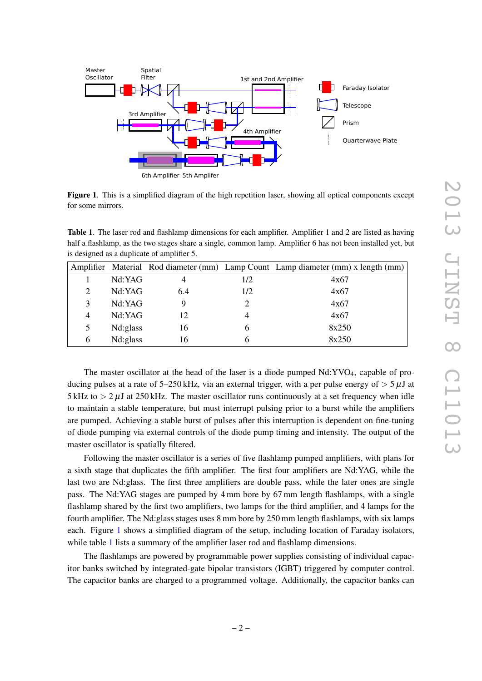

<span id="page-3-0"></span>Figure 1. This is a simplified diagram of the high repetition laser, showing all optical components except for some mirrors.

<span id="page-3-1"></span>Table 1. The laser rod and flashlamp dimensions for each amplifier. Amplifier 1 and 2 are listed as having half a flashlamp, as the two stages share a single, common lamp. Amplifier 6 has not been installed yet, but is designed as a duplicate of amplifier 5.

|   |          |     |     | Amplifier Material Rod diameter (mm) Lamp Count Lamp diameter (mm) x length (mm) |
|---|----------|-----|-----|----------------------------------------------------------------------------------|
|   | Nd:YAG   |     | 1/2 | 4x67                                                                             |
|   | Nd:YAG   | 6.4 | 1/2 | 4x67                                                                             |
| 3 | Nd:YAG   |     |     | 4x67                                                                             |
| 4 | Nd:YAG   | 12  |     | 4x67                                                                             |
| 5 | Nd:glass | 16  | h   | 8x250                                                                            |
| 6 | Nd:glass | 16  |     | 8x250                                                                            |

The master oscillator at the head of the laser is a diode pumped Nd:YVO 4, capable of producing pulses at a rate of  $5-250$  kHz, via an external trigger, with a per pulse energy of  $> 5 \mu J$  at 5 kHz to  $> 2 \mu$ J at 250 kHz. The master oscillator runs continuously at a set frequency when idle to maintain a stable temperature, but must interrupt pulsing prior to a burst while the amplifiers are pumped. Achieving a stable burst of pulses after this interruption is dependent on fine-tuning of diode pumping via external controls of the diode pump timing and intensity. The output of the master oscillator is spatially filtered.

Following the master oscillator is a series of five flashlamp pumped amplifiers, with plans for a sixth stage that duplicates the fifth amplifier. The first four amplifiers are Nd:YAG, while the last two are Nd:glass. The first three amplifiers are double pass, while the later ones are single pass. The Nd:YAG stages are pumped by 4 mm bore by 67 mm length flashlamps, with a single flashlamp shared by the first two amplifiers, two lamps for the third amplifier, and 4 lamps for the fourth amplifier. The Nd:glass stages uses 8 mm bore by 250 mm length flashlamps, with six lamps each. Figure [1](#page-3-0) shows a simplified diagram of the setup, including location of Faraday isolators, while table [1](#page-3-1) lists a summary of the amplifier laser rod and flashlamp dimensions.

The flashlamps are powered by programmable power supplies consisting of individual capacitor banks switched by integrated-gate bipolar transistors (IGBT) triggered by computer control. The capacitor banks are charged to a programmed voltage. Additionally, the capacitor banks can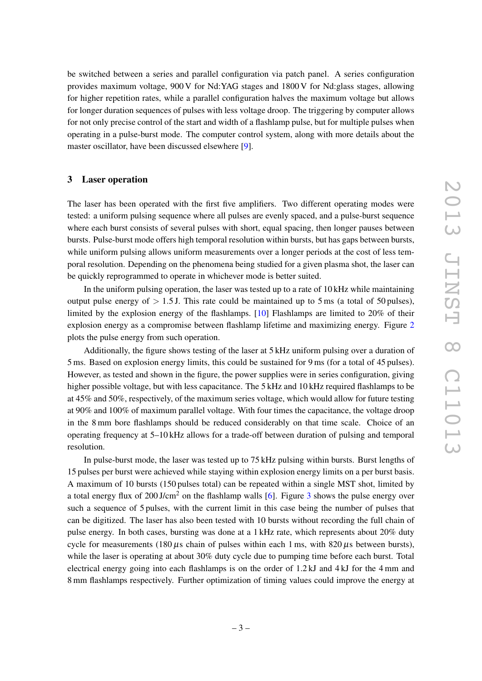be switched between a series and parallel configuration via patch panel. A series configuration provides maximum voltage, 900 V for Nd:YAG stages and 1800 V for Nd:glass stages, allowing for higher repetition rates, while a parallel configuration halves the maximum voltage but allows for longer duration sequences of pulses with less voltage droop. The triggering by computer allows for not only precise control of the start and width of a flashlamp pulse, but for multiple pulses when operating in a pulse-burst mode. The computer control system, along with more details about the master oscillator, have been discussed elsewhere [ [9\]](#page-9-6).

#### <span id="page-4-0"></span>3 Laser operation

The laser has been operated with the first five amplifiers. Two different operating modes were tested: a uniform pulsing sequence where all pulses are evenly spaced, and a pulse-burst sequence where each burst consists of several pulses with short, equal spacing, then longer pauses between bursts. Pulse-burst mode offers high temporal resolution within bursts, but has gaps between bursts, while uniform pulsing allows uniform measurements over a longer periods at the cost of less temporal resolution. Depending on the phenomena being studied for a given plasma shot, the laser can be quickly reprogrammed to operate in whichever mode is better suited.

In the uniform pulsing operation, the laser was tested up to a rate of 10 kHz while maintaining output pulse energy of *>* 1 *.*5 J. This rate could be maintained up to 5 ms (a total of 50 pulses), limited by the explosion energy of the flashlamps. [\[10\]](#page-9-7) Flashlamps are limited to 20% of their explosion energy as a compromise between flashlamp lifetime and maximizing energy. Figure [2](#page-5-1) plots the pulse energy from such operation.

Additionally, the figure shows testing of the laser at 5 kHz uniform pulsing over a duration of 5 ms. Based on explosion energy limits, this could be sustained for 9 ms (for a total of 45 pulses). However, as tested and shown in the figure, the power supplies were in series configuration, giving higher possible voltage, but with less capacitance. The 5 kHz and 10 kHz required flashlamps to be at 45% and 50%, respectively, of the maximum series voltage, which would allow for future testing at 90% and 100% of maximum parallel voltage. With four times the capacitance, the voltage droop in the 8 mm bore flashlamps should be reduced considerably on that time scale. Choice of an operating frequency at 5–10 kHz allows for a trade-off between duration of pulsing and temporal resolution.

In pulse-burst mode, the laser was tested up to 75 kHz pulsing within bursts. Burst lengths of 15 pulses per burst were achieved while staying within explosion energy limits on a per burst basis. A maximum of 10 bursts (150 pulses total) can be repeated within a single MST shot, limited by a total energy flux of 200 J/cm<sup>2</sup> on the flashlamp walls [[6\]](#page-9-3). Figure [3](#page-6-0) shows the pulse energy over such a sequence of 5 pulses, with the current limit in this case being the number of pulses that can be digitized. The laser has also been tested with 10 bursts without recording the full chain of pulse energy. In both cases, bursting was done at a 1 kHz rate, which represents about 20% duty cycle for measurements (180 *µ*s chain of pulses within each 1 ms, with 820 *µ*s between bursts), while the laser is operating at about 30% duty cycle due to pumping time before each burst. Total electrical energy going into each flashlamps is on the order of 1.2 kJ and 4 kJ for the 4 mm and 8 mm flashlamps respectively. Further optimization of timing values could improve the energy at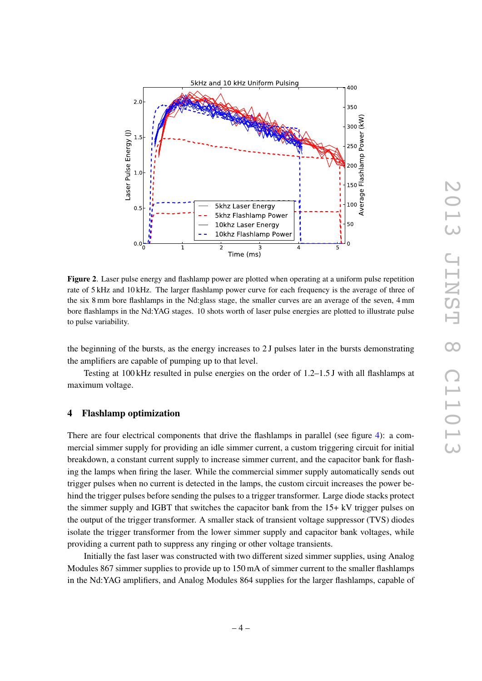

<span id="page-5-1"></span>Figure 2. Laser pulse energy and flashlamp power are plotted when operating at a uniform pulse repetition rate of 5 kHz and 10 kHz. The larger flashlamp power curve for each frequency is the average of three of the six 8 mm bore flashlamps in the Nd:glass stage, the smaller curves are an average of the seven, 4 mm bore flashlamps in the Nd:YAG stages. 10 shots worth of laser pulse energies are plotted to illustrate pulse to pulse variability.

the beginning of the bursts, as the energy increases to 2 J pulses later in the bursts demonstrating the amplifiers are capable of pumping up to that level.

Testing at 100 kHz resulted in pulse energies on the order of 1.2–1.5 J with all flashlamps at maximum voltage.

## <span id="page-5-0"></span>4 Flashlamp optimization

There are four electrical components that drive the flashlamps in parallel (see figure [4\)](#page-6-1): a commercial simmer supply for providing an idle simmer current, a custom triggering circuit for initial breakdown, a constant current supply to increase simmer current, and the capacitor bank for flashing the lamps when firing the laser. While the commercial simmer supply automatically sends out trigger pulses when no current is detected in the lamps, the custom circuit increases the power behind the trigger pulses before sending the pulses to a trigger transformer. Large diode stacks protect the simmer supply and IGBT that switches the capacitor bank from the 15+ kV trigger pulses on the output of the trigger transformer. A smaller stack of transient voltage suppressor (TVS) diodes isolate the trigger transformer from the lower simmer supply and capacitor bank voltages, while providing a current path to suppress any ringing or other voltage transients.

Initially the fast laser was constructed with two different sized simmer supplies, using Analog Modules 867 simmer supplies to provide up to 150 mA of simmer current to the smaller flashlamps in the Nd:YAG amplifiers, and Analog Modules 864 supplies for the larger flashlamps, capable of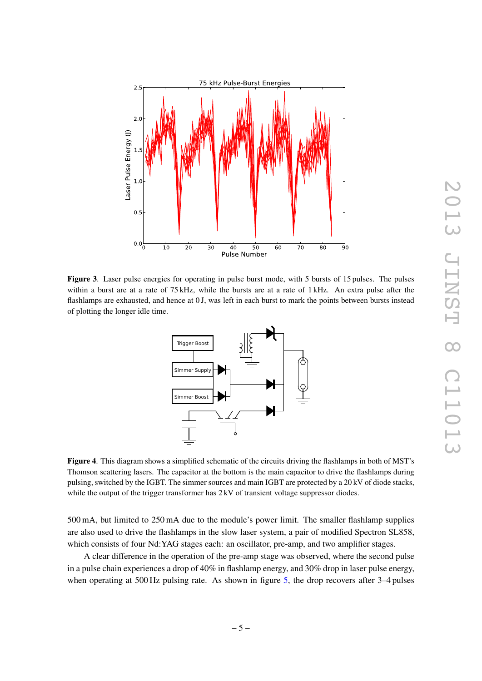

<span id="page-6-0"></span>Figure 3. Laser pulse energies for operating in pulse burst mode, with 5 bursts of 15 pulses. The pulses within a burst are at a rate of 75 kHz, while the bursts are at a rate of 1 kHz. An extra pulse after the flashlamps are exhausted, and hence at 0 J, was left in each burst to mark the points between bursts instead of plotting the longer idle time.



<span id="page-6-1"></span>Figure 4. This diagram shows a simplified schematic of the circuits driving the flashlamps in both of MST's Thomson scattering lasers. The capacitor at the bottom is the main capacitor to drive the flashlamps during pulsing, switched by the IGBT. The simmer sources and main IGBT are protected by a 20 kV of diode stacks, while the output of the trigger transformer has  $2 \text{ kV}$  of transient voltage suppressor diodes.

500 mA, but limited to 250 mA due to the module's power limit. The smaller flashlamp supplies are also used to drive the flashlamps in the slow laser system, a pair of modified Spectron SL858, which consists of four Nd:YAG stages each: an oscillator, pre-amp, and two amplifier stages.

A clear difference in the operation of the pre-amp stage was observed, where the second pulse in a pulse chain experiences a drop of 40% in flashlamp energy, and 30% drop in laser pulse energy, when operating at 500 Hz pulsing rate. As shown in figure [5,](#page-7-0) the drop recovers after 3–4 pulses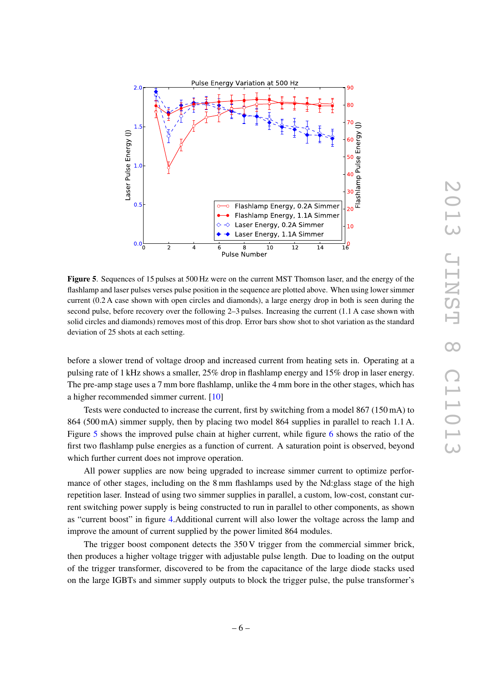

<span id="page-7-0"></span>Figure 5. Sequences of 15 pulses at 500 Hz were on the current MST Thomson laser, and the energy of the flashlamp and laser pulses verses pulse position in the sequence are plotted above. When using lower simmer current (0.2 A case shown with open circles and diamonds), a large energy drop in both is seen during the second pulse, before recovery over the following 2–3 pulses. Increasing the current (1.1 A case shown with solid circles and diamonds) removes most of this drop. Error bars show shot to shot variation as the standard deviation of 25 shots at each setting.

before a slower trend of voltage droop and increased current from heating sets in. Operating at a pulsing rate of 1 kHz shows a smaller, 25% drop in flashlamp energy and 15% drop in laser energy. The pre-amp stage uses a 7 mm bore flashlamp, unlike the 4 mm bore in the other stages, which has a higher recommended simmer current. [\[10\]](#page-9-7)

Tests were conducted to increase the current, first by switching from a model 867 (150 mA) to 864 (500 mA) simmer supply, then by placing two model 864 supplies in parallel to reach 1.1 A. Figure [5](#page-7-0) shows the improved pulse chain at higher current, while figure [6](#page-8-3) shows the ratio of the first two flashlamp pulse energies as a function of current. A saturation point is observed, beyond which further current does not improve operation.

All power supplies are now being upgraded to increase simmer current to optimize performance of other stages, including on the 8 mm flashlamps used by the Nd:glass stage of the high repetition laser. Instead of using two simmer supplies in parallel, a custom, low-cost, constant current switching power supply is being constructed to run in parallel to other components, as shown as "current boost" in figure [4.](#page-6-1)Additional current will also lower the voltage across the lamp and improve the amount of current supplied by the power limited 864 modules.

The trigger boost component detects the 350 V trigger from the commercial simmer brick, then produces a higher voltage trigger with adjustable pulse length. Due to loading on the output of the trigger transformer, discovered to be from the capacitance of the large diode stacks used on the large IGBTs and simmer supply outputs to block the trigger pulse, the pulse transformer's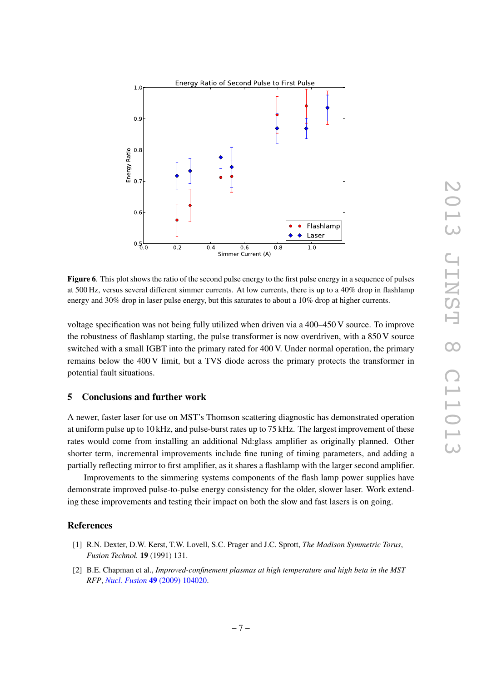

<span id="page-8-3"></span>Figure 6. This plot shows the ratio of the second pulse energy to the first pulse energy in a sequence of pulses at 500 Hz, versus several different simmer currents. At low currents, there is up to a 40% drop in flashlamp energy and 30% drop in laser pulse energy, but this saturates to about a 10% drop at higher currents.

voltage specification was not being fully utilized when driven via a 400–450 V source. To improve the robustness of flashlamp starting, the pulse transformer is now overdriven, with a 850 V source switched with a small IGBT into the primary rated for 400 V. Under normal operation, the primary remains below the 400 V limit, but a TVS diode across the primary protects the transformer in potential fault situations.

## <span id="page-8-0"></span>5 Conclusions and further work

A newer, faster laser for use on MST's Thomson scattering diagnostic has demonstrated operation at uniform pulse up to 10 kHz, and pulse-burst rates up to 75 kHz. The largest improvement of these rates would come from installing an additional Nd:glass amplifier as originally planned. Other shorter term, incremental improvements include fine tuning of timing parameters, and adding a partially reflecting mirror to first amplifier, as it shares a flashlamp with the larger second amplifier.

Improvements to the simmering systems components of the flash lamp power supplies have demonstrate improved pulse-to-pulse energy consistency for the older, slower laser. Work extending these improvements and testing their impact on both the slow and fast lasers is on going.

#### References

- <span id="page-8-1"></span>[1] R.N. Dexter, D.W. Kerst, T.W. Lovell, S.C. Prager and J.C. Sprott, *The Madison Symmetric Torus*, *Fusion Technol.* 19 (1991) 131.
- <span id="page-8-2"></span>[2] B.E. Chapman et al., *Improved-confinement plasmas at high temperature and high beta in the MST RFP*, *Nucl. Fusion* 49 [\(2009\) 104020.](http:dx.doi.org/10.1088/0029-5515/49/10/104020)